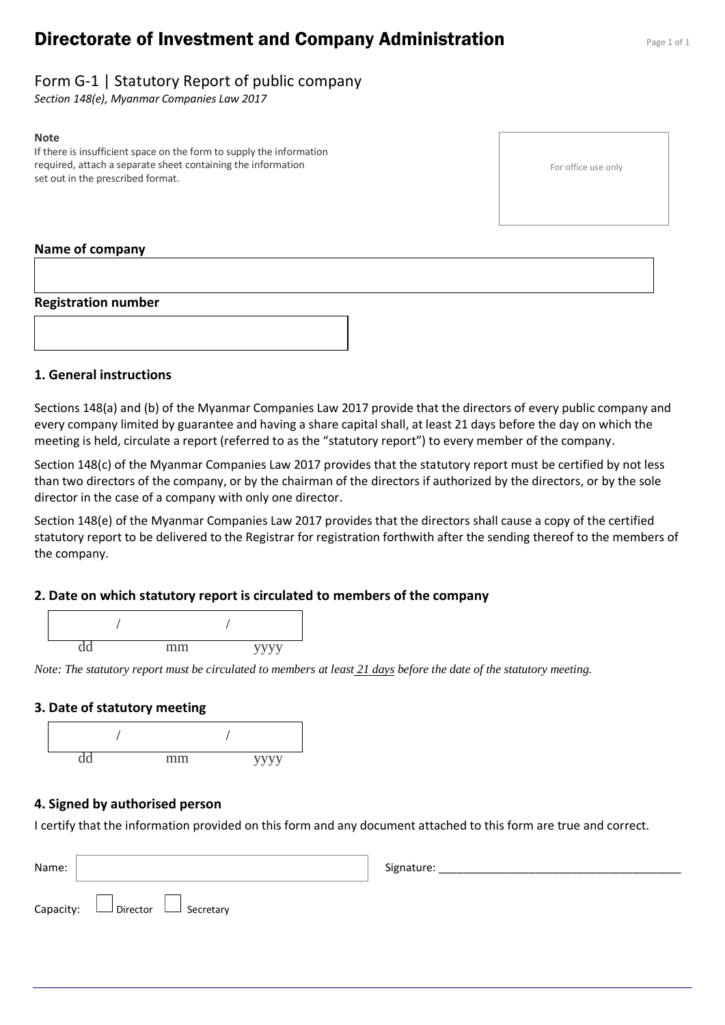# **Directorate of Investment and Company Administration** Page 1 of 1

## Form G-1 | Statutory Report of public company

*Section 148(e), Myanmar Companies Law 2017*

#### **Note**

If there is insufficient space on the form to supply the information required, attach a separate sheet containing the information set out in the prescribed format.

For office use only

#### **Name of company**

#### **Registration number**



#### **1. General instructions**

Sections 148(a) and (b) of the Myanmar Companies Law 2017 provide that the directors of every public company and every company limited by guarantee and having a share capital shall, at least 21 days before the day on which the meeting is held, circulate a report (referred to as the "statutory report") to every member of the company.

Section 148(c) of the Myanmar Companies Law 2017 provides that the statutory report must be certified by not less than two directors of the company, or by the chairman of the directors if authorized by the directors, or by the sole director in the case of a company with only one director.

Section 148(e) of the Myanmar Companies Law 2017 provides that the directors shall cause a copy of the certified statutory report to be delivered to the Registrar for registration forthwith after the sending thereof to the members of the company.

#### **2. Date on which statutory report is circulated to members of the company**



*Note: The statutory report must be circulated to members at least 21 days before the date of the statutory meeting.*

#### **3. Date of statutory meeting**



#### **4. Signed by authorised person**

I certify that the information provided on this form and any document attached to this form are true and correct.

| Name: |                                            | Signature: |
|-------|--------------------------------------------|------------|
|       | Capacity: $\Box$ Director $\Box$ Secretary |            |